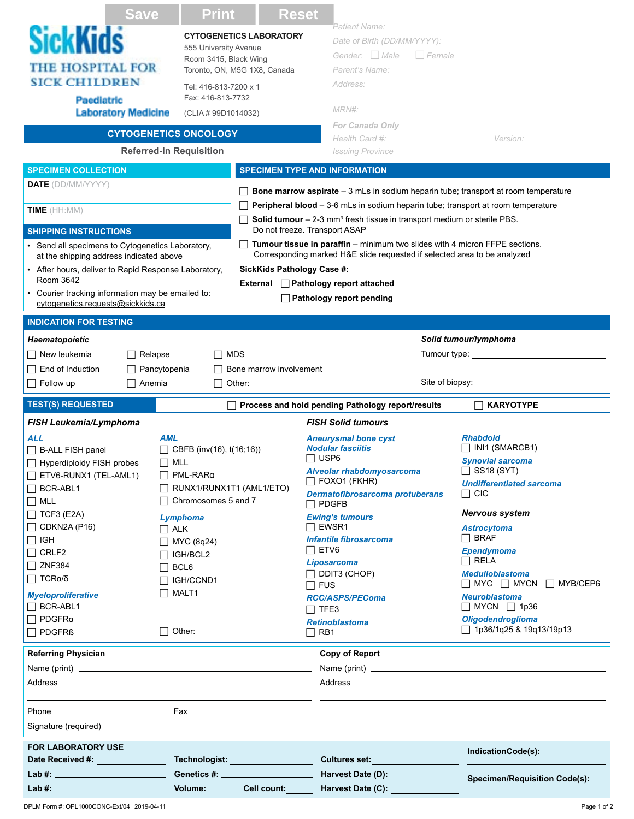| <b>Save</b>                                                       | <b>Print</b><br><b>Reset</b>                   |                                                                                                                                                                                 |                                                     |  |
|-------------------------------------------------------------------|------------------------------------------------|---------------------------------------------------------------------------------------------------------------------------------------------------------------------------------|-----------------------------------------------------|--|
| <b>SickKids</b>                                                   | <b>CYTOGENETICS LABORATORY</b>                 | "Patient Name<br>Date of Birth (DD/MM/YYYY):                                                                                                                                    |                                                     |  |
|                                                                   | 555 University Avenue<br>Room 3415, Black Wing | Gender: Male<br>$\Box$ Female                                                                                                                                                   |                                                     |  |
| <b>THE HOSPITAL FOR</b>                                           | Toronto, ON, M5G 1X8, Canada                   | Parent's Name:                                                                                                                                                                  |                                                     |  |
| <b>SICK CHILDREN</b>                                              | Tel: 416-813-7200 x 1                          | Address:                                                                                                                                                                        |                                                     |  |
| <b>Paediatric</b>                                                 | Fax: 416-813-7732                              |                                                                                                                                                                                 |                                                     |  |
| <b>Laboratory Medicine</b>                                        | (CLIA # 99D1014032)                            | MRN#:                                                                                                                                                                           |                                                     |  |
|                                                                   | <b>CYTOGENETICS ONCOLOGY</b>                   | <b>For Canada Only</b>                                                                                                                                                          |                                                     |  |
|                                                                   | <b>Referred-In Requisition</b>                 | Health Card #:<br><b>Issuing Province</b>                                                                                                                                       | Version:                                            |  |
| <b>SPECIMEN COLLECTION</b>                                        |                                                | <b>SPECIMEN TYPE AND INFORMATION</b>                                                                                                                                            |                                                     |  |
| <b>DATE</b> (DD/MM/YYYY)                                          |                                                |                                                                                                                                                                                 |                                                     |  |
|                                                                   |                                                | <b>Bone marrow aspirate</b> $-3$ mLs in sodium heparin tube; transport at room temperature                                                                                      |                                                     |  |
| TIME (HH:MM)                                                      |                                                | Peripheral blood - 3-6 mLs in sodium heparin tube; transport at room temperature<br><b>Solid tumour</b> $-2-3$ mm <sup>3</sup> fresh tissue in transport medium or sterile PBS. |                                                     |  |
| <b>SHIPPING INSTRUCTIONS</b>                                      |                                                | Do not freeze. Transport ASAP                                                                                                                                                   |                                                     |  |
| • Send all specimens to Cytogenetics Laboratory,                  |                                                | Tumour tissue in paraffin - minimum two slides with 4 micron FFPE sections.                                                                                                     |                                                     |  |
| at the shipping address indicated above                           |                                                | Corresponding marked H&E slide requested if selected area to be analyzed                                                                                                        |                                                     |  |
| • After hours, deliver to Rapid Response Laboratory,<br>Room 3642 |                                                |                                                                                                                                                                                 |                                                     |  |
| • Courier tracking information may be emailed to:                 |                                                | External □ Pathology report attached                                                                                                                                            |                                                     |  |
| cytogenetics.requests@sickkids.ca                                 |                                                | Pathology report pending                                                                                                                                                        |                                                     |  |
| <b>INDICATION FOR TESTING</b>                                     |                                                |                                                                                                                                                                                 |                                                     |  |
| Haematopoietic                                                    |                                                |                                                                                                                                                                                 | Solid tumour/lymphoma                               |  |
| New leukemia<br>Relapse                                           | $\Box$ MDS                                     |                                                                                                                                                                                 | Tumour type: Tumour type:                           |  |
| End of Induction<br>Pancytopenia                                  | Bone marrow involvement                        |                                                                                                                                                                                 |                                                     |  |
| Follow up<br>□ Anemia                                             | $\Box$ Other: $\Box$                           |                                                                                                                                                                                 |                                                     |  |
|                                                                   |                                                |                                                                                                                                                                                 |                                                     |  |
|                                                                   |                                                |                                                                                                                                                                                 |                                                     |  |
| <b>TEST(S) REQUESTED</b>                                          |                                                | Process and hold pending Pathology report/results                                                                                                                               | <b>KARYOTYPE</b>                                    |  |
| FISH Leukemia/Lymphoma                                            |                                                | <b>FISH Solid tumours</b>                                                                                                                                                       |                                                     |  |
| AML<br>ALL                                                        |                                                | <b>Aneurysmal bone cyst</b><br><b>Nodular fasciitis</b>                                                                                                                         | <b>Rhabdoid</b><br>$\Box$ INI1 (SMARCB1)            |  |
| $\Box$ B-ALL FISH panel                                           | $\Box$ CBFB (inv(16), t(16;16))                | ⊟ USP6                                                                                                                                                                          | <b>Synovial sarcoma</b>                             |  |
| Hyperdiploidy FISH probes<br>$\Box$ ETV6-RUNX1 (TEL-AML1)         | $\Box$ MLL<br>$\Box$ PML-RAR $\alpha$          | Alveolar rhabdomyosarcoma                                                                                                                                                       | $\Box$ SS18 (SYT)                                   |  |
| $\Box$ BCR-ABL1                                                   | RUNX1/RUNX1T1 (AML1/ETO)                       | $\Box$ FOXO1 (FKHR)                                                                                                                                                             | <b>Undifferentiated sarcoma</b>                     |  |
| $\Box$ MLL                                                        | $\Box$ Chromosomes 5 and 7                     | Dermatofibrosarcoma protuberans<br>$\Box$ PDGFB                                                                                                                                 | $\Box$ CIC                                          |  |
| $\Box$ TCF3 (E2A)                                                 | Lymphoma                                       | <b>Ewing's tumours</b>                                                                                                                                                          | <b>Nervous system</b>                               |  |
| $\Box$ CDKN2A (P16)                                               | $\Box$ ALK                                     | $\Box$ EWSR1                                                                                                                                                                    | <b>Astrocytoma</b>                                  |  |
| $\Box$ IGH                                                        | $\Box$ MYC (8q24)                              | <b>Infantile fibrosarcoma</b>                                                                                                                                                   | $\Box$ BRAF                                         |  |
| $\Box$ CRLF2                                                      | $\Box$ IGH/BCL2                                | $\Box$ ETV6<br><b>Liposarcoma</b>                                                                                                                                               | <b>Ependymoma</b><br>$\Box$ RELA                    |  |
| $\Box$ ZNF384                                                     | $\Box$ BCL6                                    | DDIT3 (CHOP)                                                                                                                                                                    | <b>Medulloblastoma</b>                              |  |
| $\Box$ TCRα/δ                                                     | $\Box$ IGH/CCND1                               | $\sqcap$ fus                                                                                                                                                                    | $\Box$ MYC $\Box$ MYCN $\Box$ MYB/CEP6              |  |
| <b>Myeloproliferative</b>                                         | $\Box$ MALT1                                   | <b>RCC/ASPS/PEComa</b>                                                                                                                                                          | <b>Neuroblastoma</b>                                |  |
| $\Box$ BCR-ABL1<br>$\Box$ PDGFR $\alpha$                          |                                                | $\Box$ TFE3                                                                                                                                                                     | $\Box$ MYCN $\Box$ 1p36<br><b>Oligodendroglioma</b> |  |
| $\Box$ PDGFR $\Omega$                                             |                                                | <b>Retinoblastoma</b><br>$\Box$ RB1                                                                                                                                             | □ 1p36/1q25 & 19q13/19p13                           |  |
|                                                                   |                                                |                                                                                                                                                                                 |                                                     |  |
| <b>Referring Physician</b>                                        |                                                | Copy of Report                                                                                                                                                                  |                                                     |  |
|                                                                   |                                                |                                                                                                                                                                                 |                                                     |  |
|                                                                   |                                                |                                                                                                                                                                                 |                                                     |  |
|                                                                   |                                                | <u> 1989 - Johann Barn, amerikansk politiker (</u>                                                                                                                              |                                                     |  |
|                                                                   |                                                |                                                                                                                                                                                 |                                                     |  |
|                                                                   |                                                |                                                                                                                                                                                 |                                                     |  |
| <b>FOR LABORATORY USE</b>                                         |                                                | Cultures set:                                                                                                                                                                   | IndicationCode(s):                                  |  |

**Volume: Cell count: Harvest Date (C):**

DPLM Form #: OPL1000CONC-Ext/04 2019-04-11 Page 1 of 2 **Lab #:**